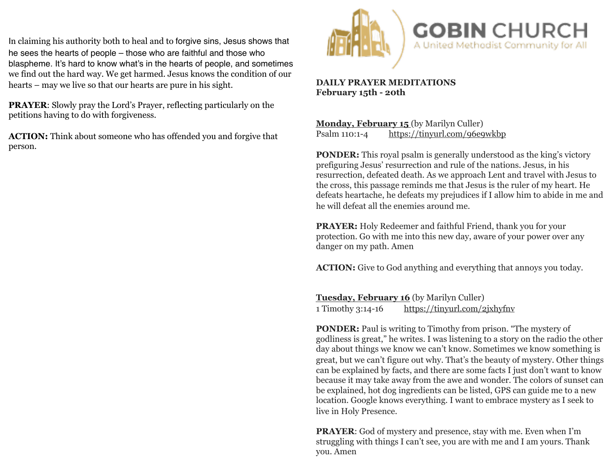In claiming his authority both to heal and to forgive sins, Jesus shows that he sees the hearts of people – those who are faithful and those who blaspheme. It's hard to know what's in the hearts of people, and sometimes we find out the hard way. We get harmed. Jesus knows the condition of our hearts – may we live so that our hearts are pure in his sight.

**PRAYER**: Slowly pray the Lord's Prayer, reflecting particularly on the petitions having to do with forgiveness.

**ACTION:** Think about someone who has offended you and forgive that person.



## **DAILY PRAYER MEDITATIONS February 15th - 20th**

**Monday, February 15** (by Marilyn Culler) Psalm 110:1-4 <https://tinyurl.com/96e9wkbp>

**PONDER:** This royal psalm is generally understood as the king's victory prefiguring Jesus' resurrection and rule of the nations. Jesus, in his resurrection, defeated death. As we approach Lent and travel with Jesus to the cross, this passage reminds me that Jesus is the ruler of my heart. He defeats heartache, he defeats my prejudices if I allow him to abide in me and he will defeat all the enemies around me.

**PRAYER:** Holy Redeemer and faithful Friend, thank you for your protection. Go with me into this new day, aware of your power over any danger on my path. Amen

**ACTION:** Give to God anything and everything that annoys you today.

**Tuesday, February 16** (by Marilyn Culler) 1 Timothy 3:14-16 <https://tinyurl.com/2jxhyfnv>

**PONDER:** Paul is writing to Timothy from prison. "The mystery of godliness is great," he writes. I was listening to a story on the radio the other day about things we know we can't know. Sometimes we know something is great, but we can't figure out why. That's the beauty of mystery. Other things can be explained by facts, and there are some facts I just don't want to know because it may take away from the awe and wonder. The colors of sunset can be explained, hot dog ingredients can be listed, GPS can guide me to a new location. Google knows everything. I want to embrace mystery as I seek to live in Holy Presence.

**PRAYER**: God of mystery and presence, stay with me. Even when I'm struggling with things I can't see, you are with me and I am yours. Thank you. Amen